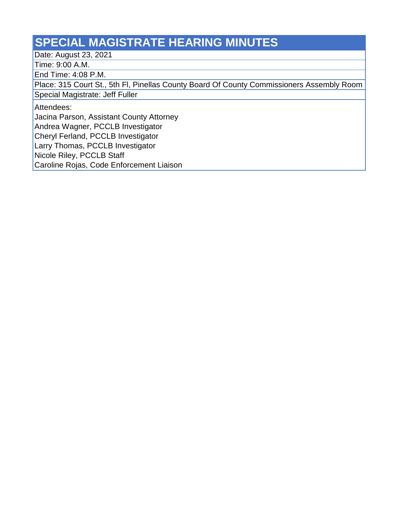## **SPECIAL MAGISTRATE HEARING MINUTES**

Date: August 23, 2021

Time: 9:00 A.M.

End Time: 4:08 P.M.

Place: 315 Court St., 5th Fl, Pinellas County Board Of County Commissioners Assembly Room Special Magistrate: Jeff Fuller

Attendees:

Jacina Parson, Assistant County Attorney

Andrea Wagner, PCCLB Investigator

Cheryl Ferland, PCCLB Investigator

Larry Thomas, PCCLB Investigator

Nicole Riley, PCCLB Staff

Caroline Rojas, Code Enforcement Liaison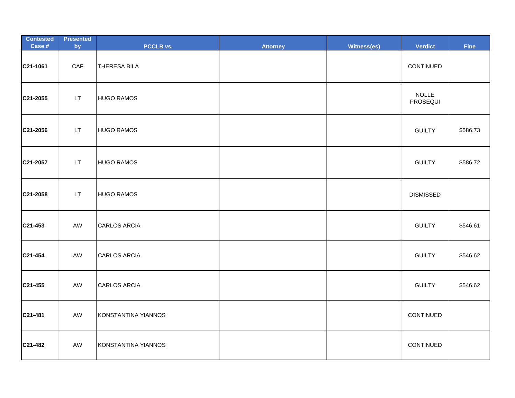| <b>Contested</b><br>Case # | <b>Presented</b><br>by | PCCLB vs.           | <b>Attorney</b> | Witness(es) | <b>Verdict</b>           | Fine     |
|----------------------------|------------------------|---------------------|-----------------|-------------|--------------------------|----------|
| C21-1061                   | $\mathsf{CAF}$         | <b>THERESA BILA</b> |                 |             | CONTINUED                |          |
| C21-2055                   | LT.                    | <b>HUGO RAMOS</b>   |                 |             | <b>NOLLE</b><br>PROSEQUI |          |
| C21-2056                   | LT.                    | <b>HUGO RAMOS</b>   |                 |             | <b>GUILTY</b>            | \$586.73 |
| C21-2057                   | LT.                    | <b>HUGO RAMOS</b>   |                 |             | <b>GUILTY</b>            | \$586.72 |
| C21-2058                   | LT.                    | <b>HUGO RAMOS</b>   |                 |             | <b>DISMISSED</b>         |          |
| C21-453                    | AW                     | CARLOS ARCIA        |                 |             | <b>GUILTY</b>            | \$546.61 |
| C21-454                    | AW                     | CARLOS ARCIA        |                 |             | <b>GUILTY</b>            | \$546.62 |
| C21-455                    | AW                     | CARLOS ARCIA        |                 |             | <b>GUILTY</b>            | \$546.62 |
| C21-481                    | AW                     | KONSTANTINA YIANNOS |                 |             | CONTINUED                |          |
| C21-482                    | AW                     | KONSTANTINA YIANNOS |                 |             | CONTINUED                |          |